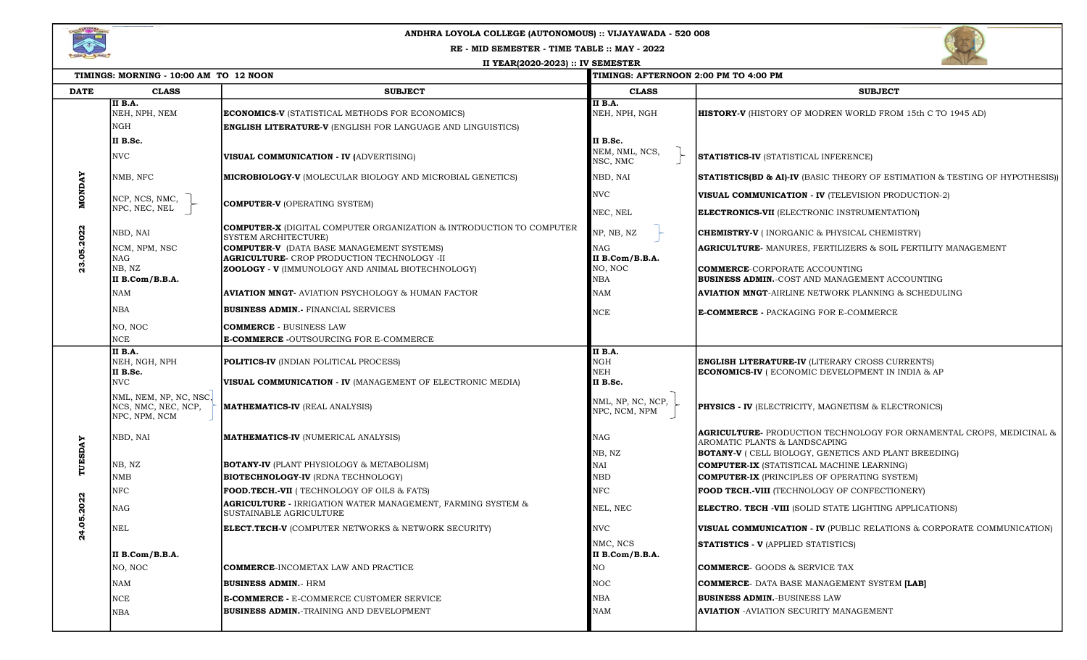

## ANDHRA LOYOLA COLLEGE (AUTONOMOUS) :: VIJAYAWADA - 520 008

RE - MID SEMESTER - TIME TABLE :: MAY - 2022

II YEAR(2020-2023) :: IV SEMESTER



| TIMINGS: MORNING - 10:00 AM TO 12 NOON |                                                                |                                                                                                         | <b>TIMINGS: AFTERNOON 2:00 PM TO 4:00 PM</b> |                                                                                                              |
|----------------------------------------|----------------------------------------------------------------|---------------------------------------------------------------------------------------------------------|----------------------------------------------|--------------------------------------------------------------------------------------------------------------|
| <b>DATE</b>                            | <b>CLASS</b>                                                   | <b>SUBJECT</b>                                                                                          | <b>CLASS</b>                                 | <b>SUBJECT</b>                                                                                               |
|                                        | <b>II B.A.</b><br>NEH, NPH, NEM                                | <b>ECONOMICS-V (STATISTICAL METHODS FOR ECONOMICS)</b>                                                  | <b>II B.A.</b><br>NEH, NPH, NGH              | <b>HISTORY-V</b> (HISTORY OF MODREN WORLD FROM 15th C TO 1945 AD)                                            |
| <b>MONDAY</b><br>05.2022               | NGH                                                            | <b>ENGLISH LITERATURE-V (ENGLISH FOR LANGUAGE AND LINGUISTICS)</b>                                      |                                              |                                                                                                              |
|                                        | II B.Sc.                                                       |                                                                                                         | II B.Sc.                                     |                                                                                                              |
|                                        | <b>NVC</b>                                                     | VISUAL COMMUNICATION - IV (ADVERTISING)                                                                 | NEM, NML, NCS,<br>NSC, NMC                   | <b>STATISTICS-IV (STATISTICAL INFERENCE)</b>                                                                 |
|                                        | NMB, NFC                                                       | <b>MICROBIOLOGY-V</b> (MOLECULAR BIOLOGY AND MICROBIAL GENETICS)                                        | NBD, NAI                                     | <b>STATISTICS(BD &amp; AI)-IV</b> (BASIC THEORY OF ESTIMATION & TESTING OF HYPOTHESIS))                      |
|                                        | NCP, NCS, NMC,                                                 |                                                                                                         | <b>NVC</b>                                   | <b>VISUAL COMMUNICATION - IV (TELEVISION PRODUCTION-2)</b>                                                   |
|                                        | NPC, NEC, NEL                                                  | <b>COMPUTER-V (OPERATING SYSTEM)</b>                                                                    | NEC, NEL                                     | <b>ELECTRONICS-VII</b> (ELECTRONIC INSTRUMENTATION)                                                          |
|                                        | NBD, NAI                                                       | <b>COMPUTER-X</b> (DIGITAL COMPUTER ORGANIZATION & INTRODUCTION TO COMPUTER<br>SYSTEM ARCHITECTURE)     | NP, NB, NZ                                   | <b>CHEMISTRY-V</b> ( INORGANIC & PHYSICAL CHEMISTRY)                                                         |
|                                        | NCM, NPM, NSC                                                  | <b>COMPUTER-V</b> (DATA BASE MANAGEMENT SYSTEMS)                                                        | NAG                                          | <b>AGRICULTURE- MANURES, FERTILIZERS &amp; SOIL FERTILITY MANAGEMENT</b>                                     |
|                                        | NAG<br>NB, NZ                                                  | <b>AGRICULTURE-</b> CROP PRODUCTION TECHNOLOGY -II<br>ZOOLOGY - V (IMMUNOLOGY AND ANIMAL BIOTECHNOLOGY) | II B.Com/B.B.A.<br>NO, NOC                   | <b>COMMERCE-CORPORATE ACCOUNTING</b>                                                                         |
|                                        | II B.Com/B.B.A.                                                |                                                                                                         | NBA                                          | <b>BUSINESS ADMIN.-COST AND MANAGEMENT ACCOUNTING</b>                                                        |
|                                        | NAM                                                            | <b>AVIATION MNGT- AVIATION PSYCHOLOGY &amp; HUMAN FACTOR</b>                                            | NAM                                          | <b>AVIATION MNGT-AIRLINE NETWORK PLANNING &amp; SCHEDULING</b>                                               |
|                                        | NBA                                                            | <b>BUSINESS ADMIN.</b> FINANCIAL SERVICES                                                               | <b>NCE</b>                                   | <b>E-COMMERCE - PACKAGING FOR E-COMMERCE</b>                                                                 |
|                                        | NO, NOC                                                        | <b>COMMERCE - BUSINESS LAW</b>                                                                          |                                              |                                                                                                              |
|                                        | NCE                                                            | <b>E-COMMERCE -</b> OUTSOURCING FOR E-COMMERCE                                                          |                                              |                                                                                                              |
| TUESDAY<br>.2022<br>24.05.             | II B.A.<br>NEH, NGH, NPH                                       | <b>POLITICS-IV (INDIAN POLITICAL PROCESS)</b>                                                           | II B.A.<br>NGH                               | <b>ENGLISH LITERATURE-IV (LITERARY CROSS CURRENTS)</b>                                                       |
|                                        | II B.Sc.<br>NVC                                                | VISUAL COMMUNICATION - IV (MANAGEMENT OF ELECTRONIC MEDIA)                                              | NEH<br>II B.Sc.                              | <b>ECONOMICS-IV</b> (ECONOMIC DEVELOPMENT IN INDIA & AP                                                      |
|                                        | NML, NEM, NP, NC, NSC,<br>NCS, NMC, NEC, NCP,<br>NPC, NPM, NCM | <b>MATHEMATICS-IV (REAL ANALYSIS)</b>                                                                   | NML, NP, NC, NCP,<br>NPC, NCM, NPM           | <b>PHYSICS - IV (ELECTRICITY, MAGNETISM &amp; ELECTRONICS)</b>                                               |
|                                        | NBD, NAI                                                       | <b>MATHEMATICS-IV (NUMERICAL ANALYSIS)</b>                                                              | NAG                                          | <b>AGRICULTURE-</b> PRODUCTION TECHNOLOGY FOR ORNAMENTAL CROPS, MEDICINAL &<br>AROMATIC PLANTS & LANDSCAPING |
|                                        |                                                                |                                                                                                         | NB, NZ                                       | <b>BOTANY-V</b> ( CELL BIOLOGY, GENETICS AND PLANT BREEDING)                                                 |
|                                        | NB, NZ                                                         | <b>BOTANY-IV (PLANT PHYSIOLOGY &amp; METABOLISM)</b>                                                    | ŃАI                                          | <b>COMPUTER-IX</b> (STATISTICAL MACHINE LEARNING)                                                            |
|                                        | NMB                                                            | <b>BIOTECHNOLOGY-IV (RDNA TECHNOLOGY)</b>                                                               | NBD                                          | <b>COMPUTER-IX</b> (PRINCIPLES OF OPERATING SYSTEM)                                                          |
|                                        | NFC                                                            | FOOD.TECH.-VII ( TECHNOLOGY OF OILS & FATS)                                                             | NFC                                          | <b>FOOD TECH.-VIII</b> (TECHNOLOGY OF CONFECTIONERY)                                                         |
|                                        | NAG                                                            | <b>AGRICULTURE -</b> IRRIGATION WATER MANAGEMENT, FARMING SYSTEM &<br>SUSTAINABLE AGRICULTURE           | NEL, NEC                                     | <b>ELECTRO. TECH -VIII</b> (SOLID STATE LIGHTING APPLICATIONS)                                               |
|                                        | NEL                                                            | <b>ELECT.TECH-V (COMPUTER NETWORKS &amp; NETWORK SECURITY)</b>                                          | <b>NVC</b>                                   | <b>VISUAL COMMUNICATION - IV (PUBLIC RELATIONS &amp; CORPORATE COMMUNICATION)</b>                            |
|                                        | II B.Com/B.B.A.                                                |                                                                                                         | NMC. NCS<br>II B.Com/B.B.A.                  | <b>STATISTICS - V (APPLIED STATISTICS)</b>                                                                   |
|                                        | NO, NOC                                                        | <b>COMMERCE-INCOMETAX LAW AND PRACTICE</b>                                                              | NО                                           | <b>COMMERCE-</b> GOODS & SERVICE TAX                                                                         |
|                                        | NAM                                                            | <b>BUSINESS ADMIN.</b> - HRM                                                                            | NOC                                          | <b>COMMERCE- DATA BASE MANAGEMENT SYSTEM [LAB]</b>                                                           |
|                                        | NCE                                                            | E-COMMERCE - E-COMMERCE CUSTOMER SERVICE                                                                | NBA                                          | <b>BUSINESS ADMIN.-BUSINESS LAW</b>                                                                          |
|                                        | NBA                                                            | <b>BUSINESS ADMIN.-TRAINING AND DEVELOPMENT</b>                                                         | NAM                                          | <b>AVIATION - AVIATION SECURITY MANAGEMENT</b>                                                               |